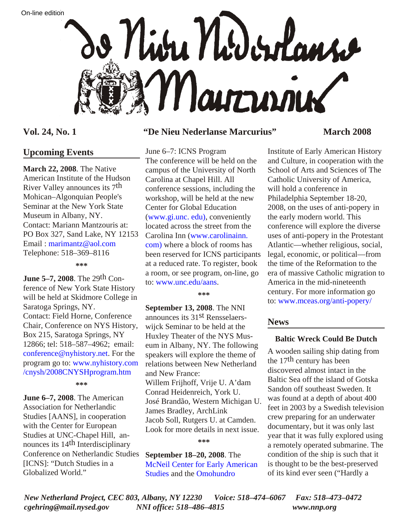



## **Upcoming Events**

**March 22, 2008**. The Native American Institute of the Hudson River Valley announces its 7th Mohican–Algonquian People's Seminar at the New York State Museum in Albany, NY. Contact: Mariann Mantzouris at: PO Box 327, Sand Lake, NY 12153 Email : [marimantz@aol.com](mailto:marimantz@aol.com) Telephone: 518–369–8116

**\*\*\***

**June 5–7, 2008**. The 29th Conference of New York State History will be held at Skidmore College in Saratoga Springs, NY. Contact: Field Horne, Conference Chair, Conference on NYS History, Box 215, Saratoga Springs, NY 12866; tel: 518–587–4962; email: [conference@nyhistory.net](mailto:conference@nyhistory.net). For the program go to: www.nyhistory.com [/cnysh/2008CNYSHprogram.htm](http://www.nyhistory.com/cnysh/2008CNYSHprogram.htm)

**\*\*\***

**June 6–7, 2008**. The American Association for Netherlandic Studies [AANS], in cooperation with the Center for European Studies at UNC-Chapel Hill, announces its 14th Interdisciplinary Conference on Netherlandic Studies [ICNS]: "Dutch Studies in a Globalized World."

## **Vol. 24, No. 1 "De Nieu Nederlanse Marcurius" March 2008**

June 6–7: ICNS Program The conference will be held on the campus of the University of North Carolina at Chapel Hill. All conference sessions, including the workshop, will be held at the new Center for Global Education ([www.gi.unc. edu\)](http://www.gi.unc.edu), conveniently located across the street from the [Carolina Inn \(www.carolinainn.](http://www.carolinainn.com) com) where a block of rooms has been reserved for ICNS participants at a reduced rate. To register, book a room, or see program, on-line, go to: [www.unc.edu/aans.](http://www.unc.edu/aans)

**\*\*\***

**September 13, 2008**. The NNI announces its 31st Rensselaerswijck Seminar to be held at the Huxley Theater of the NYS Museum in Albany, NY. The following speakers will explore the theme of relations between New Netherland and New France: Willem Frijhoff, Vrije U. A'dam Conrad Heidenreich, York U. José Brandão, Western Michigan U. James Bradley, ArchLink Jacob Soll, Rutgers U. at Camden. Look for more details in next issue.

**\*\*\***

**September 18–20, 2008**. The [McNeil Center for Early American](http://www.mceas.org) [Studies](http://www.mceas.org) and the [Omohundro](http://oieahc.wm.edu/)

Institute of Early American History and Culture, in cooperation with the School of Arts and Sciences of The Catholic University of America, will hold a conference in Philadelphia September 18-20, 2008, on the uses of anti-popery in the early modern world. This conference will explore the diverse uses of anti-popery in the Protestant Atlantic—whether religious, social, legal, economic, or political—from the time of the Reformation to the era of massive Catholic migration to America in the mid-nineteenth century. For more information go to: [www.mceas.org/anti-popery](http://www.mceas.org/anti-popery/)/

## **News**

## **Baltic Wreck Could Be Dutch**

A wooden sailing ship dating from the 17th century has been discovered almost intact in the Baltic Sea off the island of Gotska Sandon off southeast Sweden. It was found at a depth of about 400 feet in 2003 by a Swedish television crew preparing for an underwater documentary, but it was only last year that it was fully explored using a remotely operated submarine. The condition of the ship is such that it is thought to be the best-preserved of its kind ever seen ("Hardly a

*New Netherland Project, CEC 803, Albany, NY 12230 Voice: 518–474–6067 Fax: 518–473–0472 cgehring@mail.nysed.gov NNI office: 518–486–4815 www.nnp.org*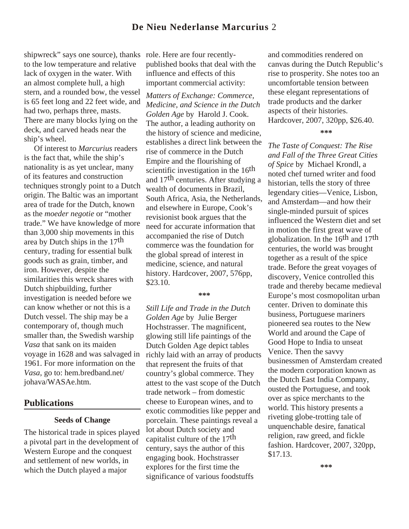## **De Nieu Nederlanse Marcurius** 2

shipwreck" says one source), thanks to the low temperature and relative lack of oxygen in the water. With an almost complete hull, a high stern, and a rounded bow, the vessel is 65 feet long and 22 feet wide, and had two, perhaps three, masts. There are many blocks lying on the deck, and carved heads near the ship's wheel.

 Of interest to *Marcurius* readers is the fact that, while the ship's nationality is as yet unclear, many of its features and construction techniques strongly point to a Dutch origin. The Baltic was an important area of trade for the Dutch, known as the *moeder negotie* or "mother trade." We have knowledge of more than 3,000 ship movements in this area by Dutch ships in the 17th century, trading for essential bulk goods such as grain, timber, and iron. However, despite the similarities this wreck shares with Dutch shipbuilding, further investigation is needed before we can know whether or not this is a Dutch vessel. The ship may be a contemporary of, though much smaller than, the Swedish warship *Vasa* that sank on its maiden voyage in 1628 and was salvaged in 1961. For more information on the *Vasa*, go to: hem.bredband.net/ johava/WASAe.htm.

## **Publications**

#### **Seeds of Change**

The historical trade in spices played a pivotal part in the development of Western Europe and the conquest and settlement of new worlds, in which the Dutch played a major

role. Here are four recentlypublished books that deal with the influence and effects of this important commercial activity:

*Matters of Exchange: Commerce, Medicine, and Science in the Dutch Golden Age* by Harold J. Cook. The author, a leading authority on the history of science and medicine, establishes a direct link between the rise of commerce in the Dutch Empire and the flourishing of scientific investigation in the 16<sup>th</sup> and 17th centuries. After studying a wealth of documents in Brazil, South Africa, Asia, the Netherlands, and elsewhere in Europe, Cook's revisionist book argues that the need for accurate information that accompanied the rise of Dutch commerce was the foundation for the global spread of interest in medicine, science, and natural history. Hardcover, 2007, 576pp, \$23.10.

#### **\*\*\***

*Still Life and Trade in the Dutch Golden Age* by Julie Berger Hochstrasser. The magnificent, glowing still life paintings of the Dutch Golden Age depict tables richly laid with an array of products that represent the fruits of that country's global commerce. They attest to the vast scope of the Dutch trade network – from domestic cheese to European wines, and to exotic commodities like pepper and porcelain. These paintings reveal a lot about Dutch society and capitalist culture of the 17th century, says the author of this engaging book. Hochstrasser explores for the first time the significance of various foodstuffs

and commodities rendered on canvas during the Dutch Republic's rise to prosperity. She notes too an uncomfortable tension between these elegant representations of trade products and the darker aspects of their histories. Hardcover, 2007, 320pp, \$26.40.

**\*\*\***

*The Taste of Conquest: The Rise and Fall of the Three Great Cities of Spice* by Michael Krondl, a noted chef turned writer and food historian, tells the story of three legendary cities—Venice, Lisbon, and Amsterdam—and how their single-minded pursuit of spices influenced the Western diet and set in motion the first great wave of globalization. In the  $16<sup>th</sup>$  and  $17<sup>th</sup>$ centuries, the world was brought together as a result of the spice trade. Before the great voyages of discovery, Venice controlled this trade and thereby became medieval Europe's most cosmopolitan urban center. Driven to dominate this business, Portuguese mariners pioneered sea routes to the New World and around the Cape of Good Hope to India to unseat Venice. Then the savvy businessmen of Amsterdam created the modern corporation known as the Dutch East India Company, ousted the Portuguese, and took over as spice merchants to the world. This history presents a riveting globe-trotting tale of unquenchable desire, fanatical religion, raw greed, and fickle fashion. Hardcover, 2007, 320pp, \$17.13.

**\*\*\***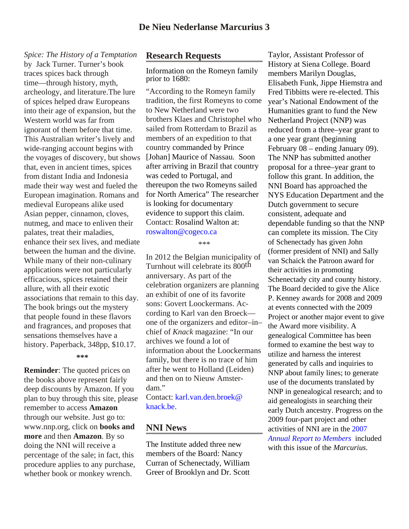*Spice: The History of a Temptation* by Jack Turner. Turner's book traces spices back through time—through history, myth, archeology, and literature.The lure of spices helped draw Europeans into their age of expansion, but the Western world was far from ignorant of them before that time. This Australian writer's lively and wide-ranging account begins with the voyages of discovery, but shows that, even in ancient times, spices from distant India and Indonesia made their way west and fueled the European imagination. Romans and medieval Europeans alike used Asian pepper, cinnamon, cloves, nutmeg, and mace to enliven their palates, treat their maladies, enhance their sex lives, and mediate between the human and the divine. While many of their non-culinary applications were not particularly efficacious, spices retained their allure, with all their exotic associations that remain to this day. The book brings out the mystery that people found in these flavors and fragrances, and proposes that sensations themselves have a history. Paperback, 348pp, \$10.17.

#### **\*\*\***

**Reminder**: The quoted prices on the books above represent fairly deep discounts by Amazon. If you plan to buy through this site, please remember to access **Amazon** through our website. Just go to: www.nnp.org, click on **books and more** and then **Amazon**. By so doing the NNI will receive a percentage of the sale; in fact, this procedure applies to any purchase, whether book or monkey wrench.

### **Research Requests**

Information on the Romeyn family prior to 1680:

"According to the Romeyn family tradition, the first Romeyns to come to New Netherland were two brothers Klaes and Christophel who sailed from Rotterdam to Brazil as members of an expedition to that country commanded by Prince [Johan] Maurice of Nassau. Soon after arriving in Brazil that country was ceded to Portugal, and thereupon the two Romeyns sailed for North America" The researcher is looking for documentary evidence to support this claim. Contact: Rosalind Walton at: [roswalton@cogeco.ca](mailto:roswalton@cogeco.ca)

\*\*\*

In 2012 the Belgian municipality of Turnhout will celebrate its 800th anniversary. As part of the celebration organizers are planning an exhibit of one of its favorite sons: Govert Loockermans. According to Karl van den Broeck one of the organizers and editor–in– chief of *Knack* magazine: "In our archives we found a lot of information about the Loockermans family, but there is no trace of him after he went to Holland (Leiden) and then on to Nieuw Amsterdam."

[Contact: karl.van.den.broek@](mailto:karl.van.den.broek@knack.be) knack.be.

### **NNI News**

The Institute added three new members of the Board: Nancy Curran of Schenectady, William Greer of Brooklyn and Dr. Scott

Taylor, Assistant Professor of History at Siena College. Board members Marilyn Douglas, Elisabeth Funk, Jippe Hiemstra and Fred Tibbitts were re-elected. This year's National Endowment of the Humanities grant to fund the New Netherland Project (NNP) was reduced from a three–year grant to a one year grant (beginning February 08 – ending January 09). The NNP has submitted another proposal for a three–year grant to follow this grant. In addition, the NNI Board has approached the NYS Education Department and the Dutch government to secure consistent, adequate and dependable funding so that the NNP can complete its mission. The City of Schenectady has given John (former president of NNI) and Sally van Schaick the Patroon award for their activities in promoting Schenectady city and county history. The Board decided to give the Alice P. Kenney awards for 2008 and 2009 at events connected with the 2009 Project or another major event to give the Award more visibility. A genealogical Committee has been formed to examine the best way to utilize and harness the interest generated by calls and inquiries to NNP about family lines; to generate use of the documents translated by NNP in genealogical research; and to aid genealogists in searching their early Dutch ancestry. Progress on the 2009 four-part project and other activities of NNI are in the 2007 *Annual Report to Members* included with this issue of the *Marcurius*.